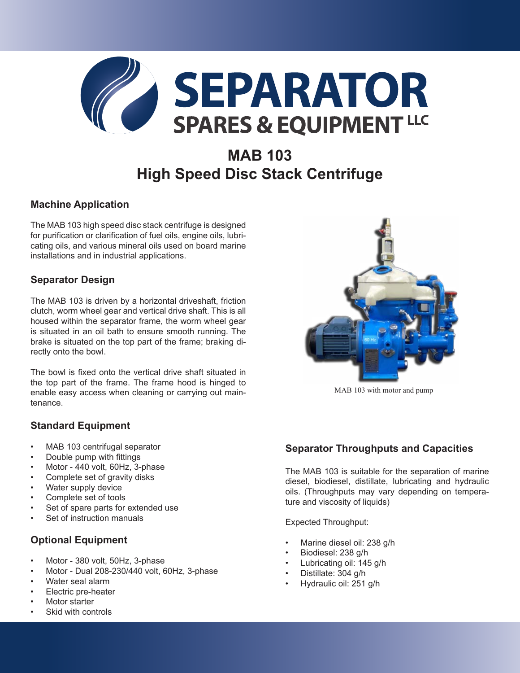

# **MAB 103 High Speed Disc Stack Centrifuge**

#### **Machine Application**

The MAB 103 high speed disc stack centrifuge is designed for purification or clarification of fuel oils, engine oils, lubricating oils, and various mineral oils used on board marine installations and in industrial applications.

# **Separator Design**

The MAB 103 is driven by a horizontal driveshaft, friction clutch, worm wheel gear and vertical drive shaft. This is all housed within the separator frame, the worm wheel gear is situated in an oil bath to ensure smooth running. The brake is situated on the top part of the frame; braking directly onto the bowl.

The bowl is fixed onto the vertical drive shaft situated in the top part of the frame. The frame hood is hinged to enable easy access when cleaning or carrying out maintenance.

#### **Standard Equipment**

- MAB 103 centrifugal separator
- Double pump with fittings
- Motor 440 volt, 60Hz, 3-phase
- Complete set of gravity disks
- Water supply device
- Complete set of tools
- Set of spare parts for extended use
- Set of instruction manuals

# **Optional Equipment**

- Motor 380 volt, 50Hz, 3-phase
- Motor Dual 208-230/440 volt, 60Hz, 3-phase
- Water seal alarm
- Electric pre-heater
- Motor starter
- Skid with controls



MAB 103 with motor and pump

# **Separator Throughputs and Capacities**

The MAB 103 is suitable for the separation of marine diesel, biodiesel, distillate, lubricating and hydraulic oils. (Throughputs may vary depending on temperature and viscosity of liquids)

Expected Throughput:

- Marine diesel oil: 238 g/h
- Biodiesel: 238 g/h
- Lubricating oil: 145 g/h
- Distillate: 304 g/h
- Hydraulic oil: 251 g/h